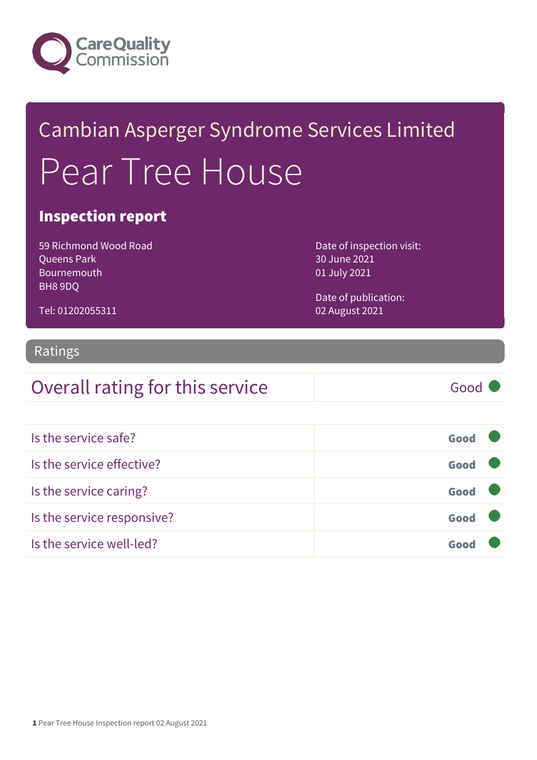

## Cambian Asperger Syndrome Services Limited Pear Tree House

#### Inspection report

59 Richmond Wood Road Queens Park Bournemouth BH8 9DQ

Date of inspection visit: 30 June 2021 01 July 2021

Date of publication: 02 August 2021

Ratings

Tel: 01202055311

### Overall rating for this service Good

| Is the service safe?       | Good |
|----------------------------|------|
| Is the service effective?  | Good |
| Is the service caring?     | Good |
| Is the service responsive? | Good |
| Is the service well-led?   |      |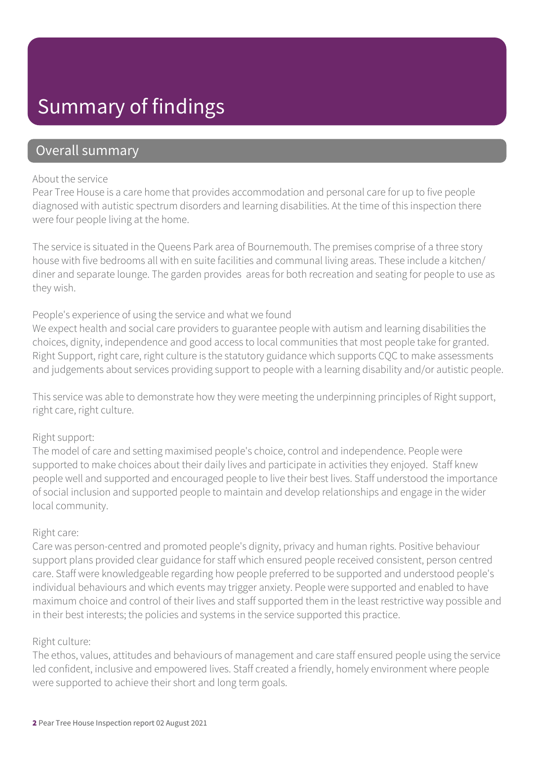### Summary of findings

#### Overall summary

#### About the service

Pear Tree House is a care home that provides accommodation and personal care for up to five people diagnosed with autistic spectrum disorders and learning disabilities. At the time of this inspection there were four people living at the home.

The service is situated in the Queens Park area of Bournemouth. The premises comprise of a three story house with five bedrooms all with en suite facilities and communal living areas. These include a kitchen/ diner and separate lounge. The garden provides areas for both recreation and seating for people to use as they wish.

#### People's experience of using the service and what we found

We expect health and social care providers to guarantee people with autism and learning disabilities the choices, dignity, independence and good access to local communities that most people take for granted. Right Support, right care, right culture is the statutory guidance which supports CQC to make assessments and judgements about services providing support to people with a learning disability and/or autistic people.

This service was able to demonstrate how they were meeting the underpinning principles of Right support, right care, right culture.

#### Right support:

The model of care and setting maximised people's choice, control and independence. People were supported to make choices about their daily lives and participate in activities they enjoyed. Staff knew people well and supported and encouraged people to live their best lives. Staff understood the importance of social inclusion and supported people to maintain and develop relationships and engage in the wider local community.

#### Right care:

Care was person-centred and promoted people's dignity, privacy and human rights. Positive behaviour support plans provided clear guidance for staff which ensured people received consistent, person centred care. Staff were knowledgeable regarding how people preferred to be supported and understood people's individual behaviours and which events may trigger anxiety. People were supported and enabled to have maximum choice and control of their lives and staff supported them in the least restrictive way possible and in their best interests; the policies and systems in the service supported this practice.

#### Right culture:

The ethos, values, attitudes and behaviours of management and care staff ensured people using the service led confident, inclusive and empowered lives. Staff created a friendly, homely environment where people were supported to achieve their short and long term goals.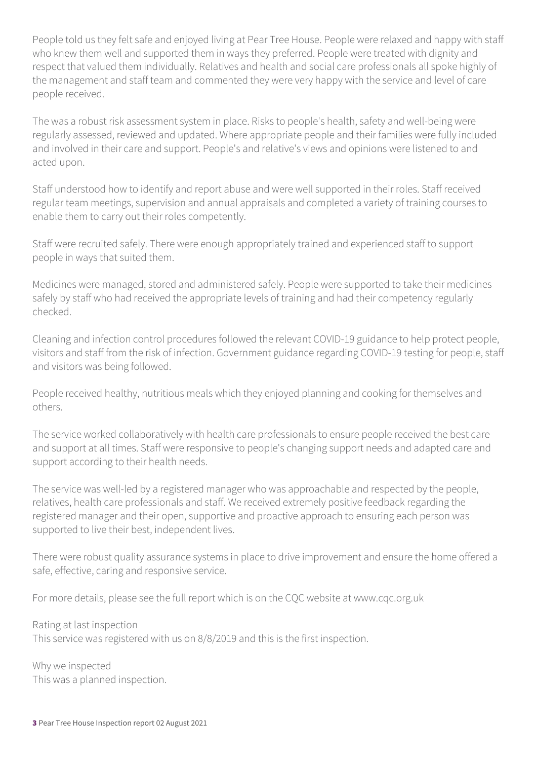People told us they felt safe and enjoyed living at Pear Tree House. People were relaxed and happy with staff who knew them well and supported them in ways they preferred. People were treated with dignity and respect that valued them individually. Relatives and health and social care professionals all spoke highly of the management and staff team and commented they were very happy with the service and level of care people received.

The was a robust risk assessment system in place. Risks to people's health, safety and well-being were regularly assessed, reviewed and updated. Where appropriate people and their families were fully included and involved in their care and support. People's and relative's views and opinions were listened to and acted upon.

Staff understood how to identify and report abuse and were well supported in their roles. Staff received regular team meetings, supervision and annual appraisals and completed a variety of training courses to enable them to carry out their roles competently.

Staff were recruited safely. There were enough appropriately trained and experienced staff to support people in ways that suited them.

Medicines were managed, stored and administered safely. People were supported to take their medicines safely by staff who had received the appropriate levels of training and had their competency regularly checked.

Cleaning and infection control procedures followed the relevant COVID-19 guidance to help protect people, visitors and staff from the risk of infection. Government guidance regarding COVID-19 testing for people, staff and visitors was being followed.

People received healthy, nutritious meals which they enjoyed planning and cooking for themselves and others.

The service worked collaboratively with health care professionals to ensure people received the best care and support at all times. Staff were responsive to people's changing support needs and adapted care and support according to their health needs.

The service was well-led by a registered manager who was approachable and respected by the people, relatives, health care professionals and staff. We received extremely positive feedback regarding the registered manager and their open, supportive and proactive approach to ensuring each person was supported to live their best, independent lives.

There were robust quality assurance systems in place to drive improvement and ensure the home offered a safe, effective, caring and responsive service.

For more details, please see the full report which is on the CQC website at www.cqc.org.uk

Rating at last inspection This service was registered with us on 8/8/2019 and this is the first inspection.

Why we inspected This was a planned inspection.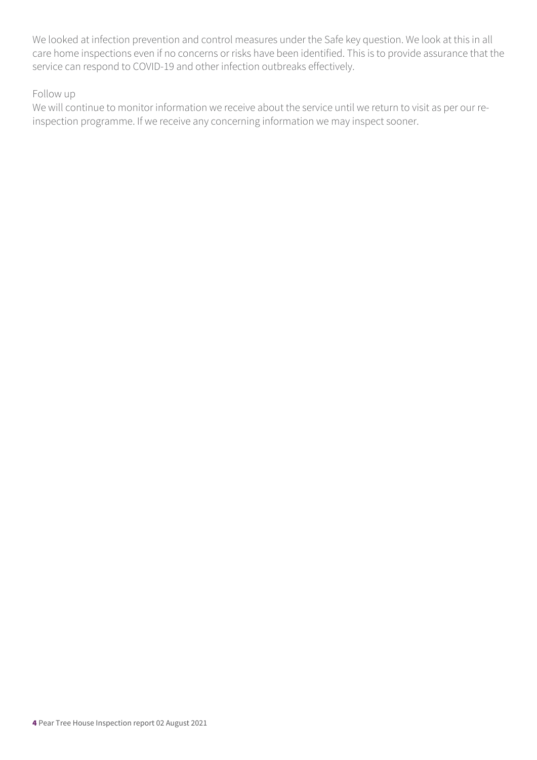We looked at infection prevention and control measures under the Safe key question. We look at this in all care home inspections even if no concerns or risks have been identified. This is to provide assurance that the service can respond to COVID-19 and other infection outbreaks effectively.

#### Follow up

We will continue to monitor information we receive about the service until we return to visit as per our reinspection programme. If we receive any concerning information we may inspect sooner.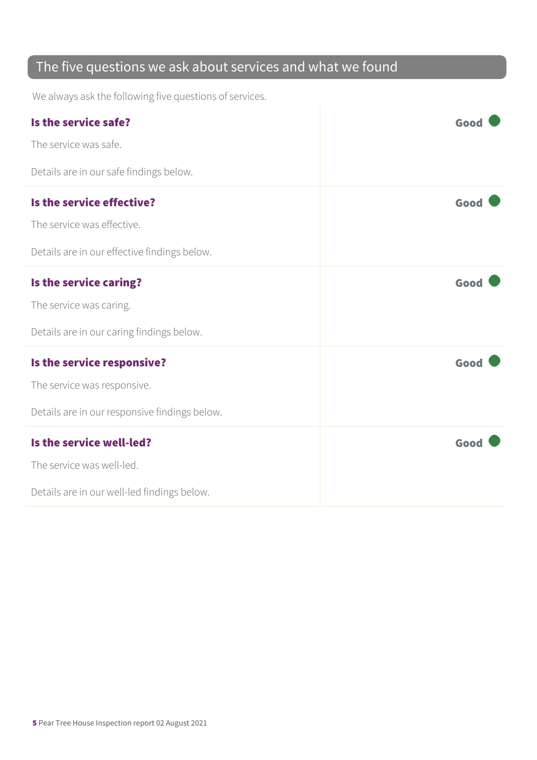### The five questions we ask about services and what we found

We always ask the following five questions of services.

| Is the service safe?                          | Good |
|-----------------------------------------------|------|
| The service was safe.                         |      |
| Details are in our safe findings below.       |      |
| Is the service effective?                     | Good |
| The service was effective.                    |      |
| Details are in our effective findings below.  |      |
| Is the service caring?                        | Good |
| The service was caring.                       |      |
| Details are in our caring findings below.     |      |
| Is the service responsive?                    | Good |
| The service was responsive.                   |      |
| Details are in our responsive findings below. |      |
| Is the service well-led?                      | Good |
| The service was well-led.                     |      |
| Details are in our well-led findings below.   |      |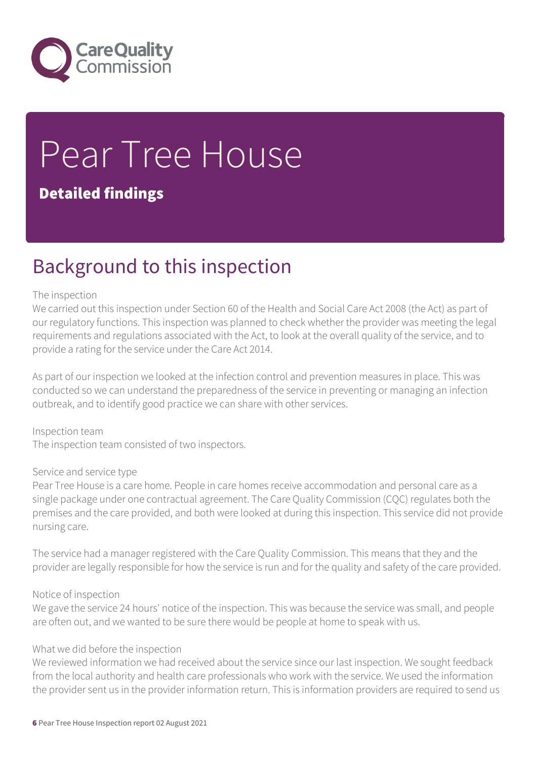

# Pear Tree House

### Detailed findings

### Background to this inspection

#### The inspection

We carried out this inspection under Section 60 of the Health and Social Care Act 2008 (the Act) as part of our regulatory functions. This inspection was planned to check whether the provider was meeting the legal requirements and regulations associated with the Act, to look at the overall quality of the service, and to provide a rating for the service under the Care Act 2014.

As part of our inspection we looked at the infection control and prevention measures in place. This was conducted so we can understand the preparedness of the service in preventing or managing an infection outbreak, and to identify good practice we can share with other services.

Inspection team The inspection team consisted of two inspectors.

#### Service and service type

Pear Tree House is a care home. People in care homes receive accommodation and personal care as a single package under one contractual agreement. The Care Quality Commission (CQC) regulates both the premises and the care provided, and both were looked at during this inspection. This service did not provide nursing care.

The service had a manager registered with the Care Quality Commission. This means that they and the provider are legally responsible for how the service is run and for the quality and safety of the care provided.

#### Notice of inspection

We gave the service 24 hours' notice of the inspection. This was because the service was small, and people are often out, and we wanted to be sure there would be people at home to speak with us.

#### What we did before the inspection

We reviewed information we had received about the service since our last inspection. We sought feedback from the local authority and health care professionals who work with the service. We used the information the provider sent us in the provider information return. This is information providers are required to send us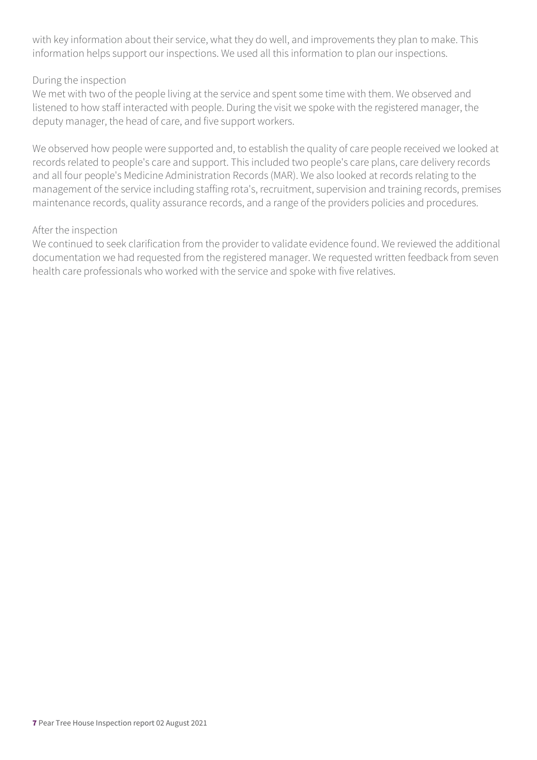with key information about their service, what they do well, and improvements they plan to make. This information helps support our inspections. We used all this information to plan our inspections.

#### During the inspection

We met with two of the people living at the service and spent some time with them. We observed and listened to how staff interacted with people. During the visit we spoke with the registered manager, the deputy manager, the head of care, and five support workers.

We observed how people were supported and, to establish the quality of care people received we looked at records related to people's care and support. This included two people's care plans, care delivery records and all four people's Medicine Administration Records (MAR). We also looked at records relating to the management of the service including staffing rota's, recruitment, supervision and training records, premises maintenance records, quality assurance records, and a range of the providers policies and procedures.

#### After the inspection

We continued to seek clarification from the provider to validate evidence found. We reviewed the additional documentation we had requested from the registered manager. We requested written feedback from seven health care professionals who worked with the service and spoke with five relatives.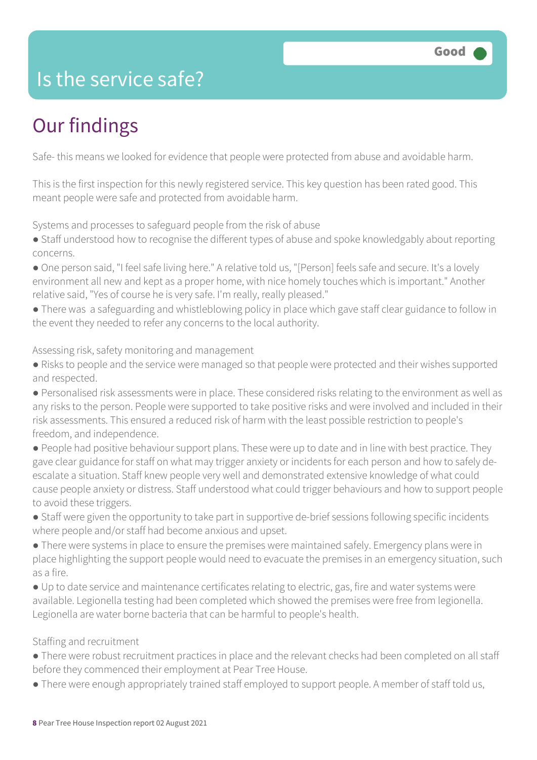### Is the service safe?

### Our findings

Safe- this means we looked for evidence that people were protected from abuse and avoidable harm.

This is the first inspection for this newly registered service. This key question has been rated good. This meant people were safe and protected from avoidable harm.

Systems and processes to safeguard people from the risk of abuse

- Staff understood how to recognise the different types of abuse and spoke knowledgably about reporting concerns.
- One person said, "I feel safe living here." A relative told us, "[Person] feels safe and secure. It's a lovely environment all new and kept as a proper home, with nice homely touches which is important." Another relative said, "Yes of course he is very safe. I'm really, really pleased."
- There was a safeguarding and whistleblowing policy in place which gave staff clear guidance to follow in the event they needed to refer any concerns to the local authority.

#### Assessing risk, safety monitoring and management

- Risks to people and the service were managed so that people were protected and their wishes supported and respected.
- Personalised risk assessments were in place. These considered risks relating to the environment as well as any risks to the person. People were supported to take positive risks and were involved and included in their risk assessments. This ensured a reduced risk of harm with the least possible restriction to people's freedom, and independence.
- People had positive behaviour support plans. These were up to date and in line with best practice. They gave clear guidance for staff on what may trigger anxiety or incidents for each person and how to safely deescalate a situation. Staff knew people very well and demonstrated extensive knowledge of what could cause people anxiety or distress. Staff understood what could trigger behaviours and how to support people to avoid these triggers.
- Staff were given the opportunity to take part in supportive de-brief sessions following specific incidents where people and/or staff had become anxious and upset.
- There were systems in place to ensure the premises were maintained safely. Emergency plans were in place highlighting the support people would need to evacuate the premises in an emergency situation, such as a fire.
- Up to date service and maintenance certificates relating to electric, gas, fire and water systems were available. Legionella testing had been completed which showed the premises were free from legionella. Legionella are water borne bacteria that can be harmful to people's health.

#### Staffing and recruitment

- There were robust recruitment practices in place and the relevant checks had been completed on all staff before they commenced their employment at Pear Tree House.
- There were enough appropriately trained staff employed to support people. A member of staff told us,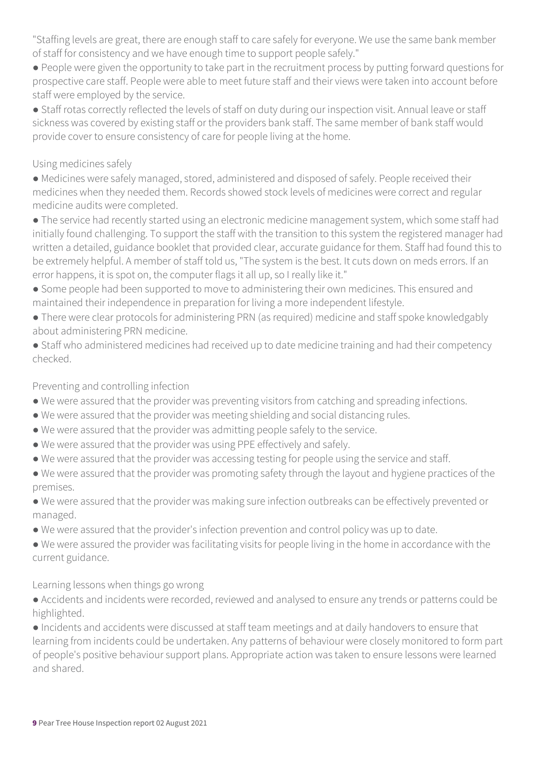"Staffing levels are great, there are enough staff to care safely for everyone. We use the same bank member of staff for consistency and we have enough time to support people safely."

● People were given the opportunity to take part in the recruitment process by putting forward questions for prospective care staff. People were able to meet future staff and their views were taken into account before staff were employed by the service.

● Staff rotas correctly reflected the levels of staff on duty during our inspection visit. Annual leave or staff sickness was covered by existing staff or the providers bank staff. The same member of bank staff would provide cover to ensure consistency of care for people living at the home.

#### Using medicines safely

● Medicines were safely managed, stored, administered and disposed of safely. People received their medicines when they needed them. Records showed stock levels of medicines were correct and regular medicine audits were completed.

● The service had recently started using an electronic medicine management system, which some staff had initially found challenging. To support the staff with the transition to this system the registered manager had written a detailed, guidance booklet that provided clear, accurate guidance for them. Staff had found this to be extremely helpful. A member of staff told us, "The system is the best. It cuts down on meds errors. If an error happens, it is spot on, the computer flags it all up, so I really like it."

- Some people had been supported to move to administering their own medicines. This ensured and maintained their independence in preparation for living a more independent lifestyle.
- There were clear protocols for administering PRN (as required) medicine and staff spoke knowledgably about administering PRN medicine.
- Staff who administered medicines had received up to date medicine training and had their competency checked.

#### Preventing and controlling infection

- We were assured that the provider was preventing visitors from catching and spreading infections.
- We were assured that the provider was meeting shielding and social distancing rules.
- We were assured that the provider was admitting people safely to the service.
- We were assured that the provider was using PPE effectively and safely.
- We were assured that the provider was accessing testing for people using the service and staff.
- We were assured that the provider was promoting safety through the layout and hygiene practices of the premises.

● We were assured that the provider was making sure infection outbreaks can be effectively prevented or managed.

- We were assured that the provider's infection prevention and control policy was up to date.
- We were assured the provider was facilitating visits for people living in the home in accordance with the current guidance.

#### Learning lessons when things go wrong

● Accidents and incidents were recorded, reviewed and analysed to ensure any trends or patterns could be highlighted.

● Incidents and accidents were discussed at staff team meetings and at daily handovers to ensure that learning from incidents could be undertaken. Any patterns of behaviour were closely monitored to form part of people's positive behaviour support plans. Appropriate action was taken to ensure lessons were learned and shared.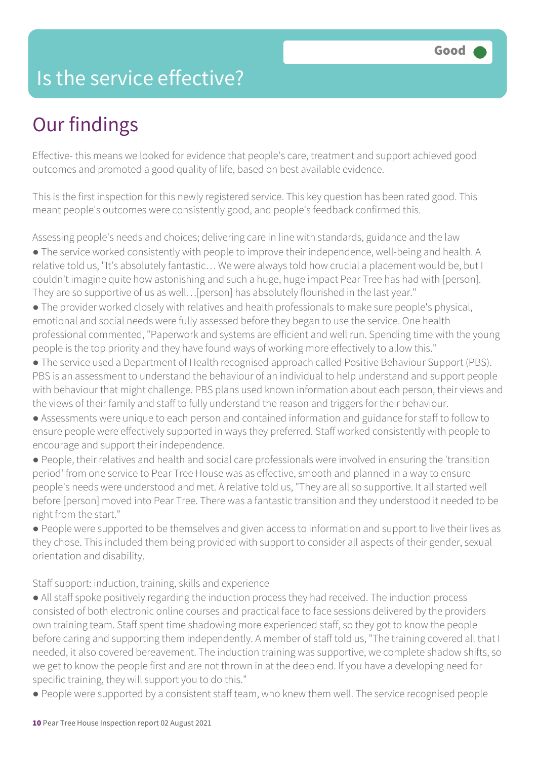### Is the service effective?

### Our findings

Effective- this means we looked for evidence that people's care, treatment and support achieved good outcomes and promoted a good quality of life, based on best available evidence.

This is the first inspection for this newly registered service. This key question has been rated good. This meant people's outcomes were consistently good, and people's feedback confirmed this.

Assessing people's needs and choices; delivering care in line with standards, guidance and the law

- The service worked consistently with people to improve their independence, well-being and health. A relative told us, "It's absolutely fantastic… We were always told how crucial a placement would be, but I couldn't imagine quite how astonishing and such a huge, huge impact Pear Tree has had with [person]. They are so supportive of us as well... [person] has absolutely flourished in the last year."
- The provider worked closely with relatives and health professionals to make sure people's physical, emotional and social needs were fully assessed before they began to use the service. One health professional commented, "Paperwork and systems are efficient and well run. Spending time with the young people is the top priority and they have found ways of working more effectively to allow this."
- The service used a Department of Health recognised approach called Positive Behaviour Support (PBS). PBS is an assessment to understand the behaviour of an individual to help understand and support people with behaviour that might challenge. PBS plans used known information about each person, their views and the views of their family and staff to fully understand the reason and triggers for their behaviour.
- Assessments were unique to each person and contained information and guidance for staff to follow to ensure people were effectively supported in ways they preferred. Staff worked consistently with people to encourage and support their independence.
- People, their relatives and health and social care professionals were involved in ensuring the 'transition period' from one service to Pear Tree House was as effective, smooth and planned in a way to ensure people's needs were understood and met. A relative told us, "They are all so supportive. It all started well before [person] moved into Pear Tree. There was a fantastic transition and they understood it needed to be right from the start."
- People were supported to be themselves and given access to information and support to live their lives as they chose. This included them being provided with support to consider all aspects of their gender, sexual orientation and disability.

Staff support: induction, training, skills and experience

- All staff spoke positively regarding the induction process they had received. The induction process consisted of both electronic online courses and practical face to face sessions delivered by the providers own training team. Staff spent time shadowing more experienced staff, so they got to know the people before caring and supporting them independently. A member of staff told us, "The training covered all that I needed, it also covered bereavement. The induction training was supportive, we complete shadow shifts, so we get to know the people first and are not thrown in at the deep end. If you have a developing need for specific training, they will support you to do this."
- People were supported by a consistent staff team, who knew them well. The service recognised people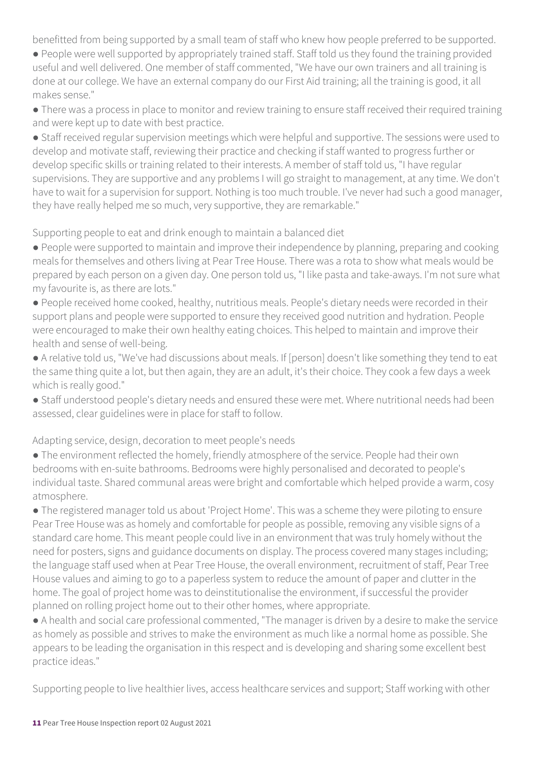benefitted from being supported by a small team of staff who knew how people preferred to be supported.

- People were well supported by appropriately trained staff. Staff told us they found the training provided useful and well delivered. One member of staff commented, "We have our own trainers and all training is done at our college. We have an external company do our First Aid training; all the training is good, it all makes sense."
- There was a process in place to monitor and review training to ensure staff received their required training and were kept up to date with best practice.
- Staff received regular supervision meetings which were helpful and supportive. The sessions were used to develop and motivate staff, reviewing their practice and checking if staff wanted to progress further or develop specific skills or training related to their interests. A member of staff told us, "I have regular supervisions. They are supportive and any problems I will go straight to management, at any time. We don't have to wait for a supervision for support. Nothing is too much trouble. I've never had such a good manager, they have really helped me so much, very supportive, they are remarkable."

Supporting people to eat and drink enough to maintain a balanced diet

- People were supported to maintain and improve their independence by planning, preparing and cooking meals for themselves and others living at Pear Tree House. There was a rota to show what meals would be prepared by each person on a given day. One person told us, "I like pasta and take-aways. I'm not sure what my favourite is, as there are lots."
- People received home cooked, healthy, nutritious meals. People's dietary needs were recorded in their support plans and people were supported to ensure they received good nutrition and hydration. People were encouraged to make their own healthy eating choices. This helped to maintain and improve their health and sense of well-being.
- A relative told us, "We've had discussions about meals. If [person] doesn't like something they tend to eat the same thing quite a lot, but then again, they are an adult, it's their choice. They cook a few days a week which is really good."
- Staff understood people's dietary needs and ensured these were met. Where nutritional needs had been assessed, clear guidelines were in place for staff to follow.

Adapting service, design, decoration to meet people's needs

- The environment reflected the homely, friendly atmosphere of the service. People had their own bedrooms with en-suite bathrooms. Bedrooms were highly personalised and decorated to people's individual taste. Shared communal areas were bright and comfortable which helped provide a warm, cosy atmosphere.
- The registered manager told us about 'Project Home'. This was a scheme they were piloting to ensure Pear Tree House was as homely and comfortable for people as possible, removing any visible signs of a standard care home. This meant people could live in an environment that was truly homely without the need for posters, signs and guidance documents on display. The process covered many stages including; the language staff used when at Pear Tree House, the overall environment, recruitment of staff, Pear Tree House values and aiming to go to a paperless system to reduce the amount of paper and clutter in the home. The goal of project home was to deinstitutionalise the environment, if successful the provider planned on rolling project home out to their other homes, where appropriate.
- A health and social care professional commented, "The manager is driven by a desire to make the service as homely as possible and strives to make the environment as much like a normal home as possible. She appears to be leading the organisation in this respect and is developing and sharing some excellent best practice ideas."

Supporting people to live healthier lives, access healthcare services and support; Staff working with other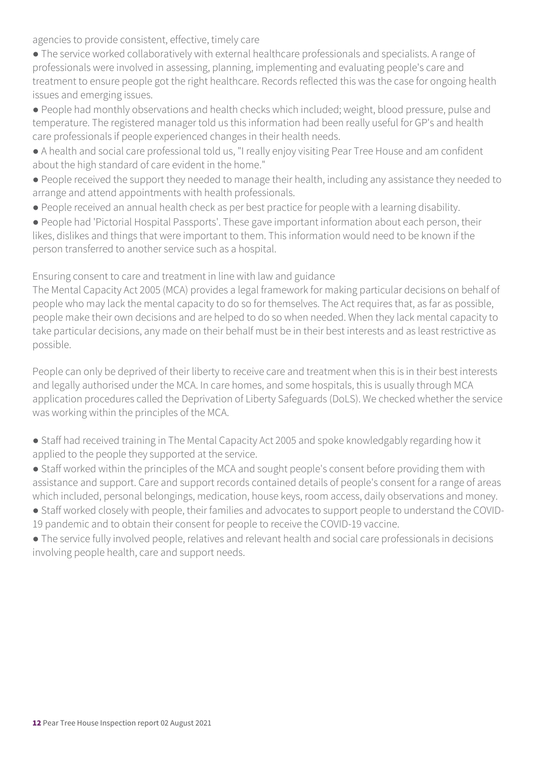agencies to provide consistent, effective, timely care

- The service worked collaboratively with external healthcare professionals and specialists. A range of professionals were involved in assessing, planning, implementing and evaluating people's care and treatment to ensure people got the right healthcare. Records reflected this was the case for ongoing health issues and emerging issues.
- People had monthly observations and health checks which included; weight, blood pressure, pulse and temperature. The registered manager told us this information had been really useful for GP's and health care professionals if people experienced changes in their health needs.
- A health and social care professional told us, "I really enjoy visiting Pear Tree House and am confident about the high standard of care evident in the home."
- People received the support they needed to manage their health, including any assistance they needed to arrange and attend appointments with health professionals.
- People received an annual health check as per best practice for people with a learning disability.
- People had 'Pictorial Hospital Passports'. These gave important information about each person, their likes, dislikes and things that were important to them. This information would need to be known if the person transferred to another service such as a hospital.

Ensuring consent to care and treatment in line with law and guidance

The Mental Capacity Act 2005 (MCA) provides a legal framework for making particular decisions on behalf of people who may lack the mental capacity to do so for themselves. The Act requires that, as far as possible, people make their own decisions and are helped to do so when needed. When they lack mental capacity to take particular decisions, any made on their behalf must be in their best interests and as least restrictive as possible.

People can only be deprived of their liberty to receive care and treatment when this is in their best interests and legally authorised under the MCA. In care homes, and some hospitals, this is usually through MCA application procedures called the Deprivation of Liberty Safeguards (DoLS). We checked whether the service was working within the principles of the MCA.

- Staff had received training in The Mental Capacity Act 2005 and spoke knowledgably regarding how it applied to the people they supported at the service.
- Staff worked within the principles of the MCA and sought people's consent before providing them with assistance and support. Care and support records contained details of people's consent for a range of areas which included, personal belongings, medication, house keys, room access, daily observations and money.
- Staff worked closely with people, their families and advocates to support people to understand the COVID-19 pandemic and to obtain their consent for people to receive the COVID-19 vaccine.
- The service fully involved people, relatives and relevant health and social care professionals in decisions involving people health, care and support needs.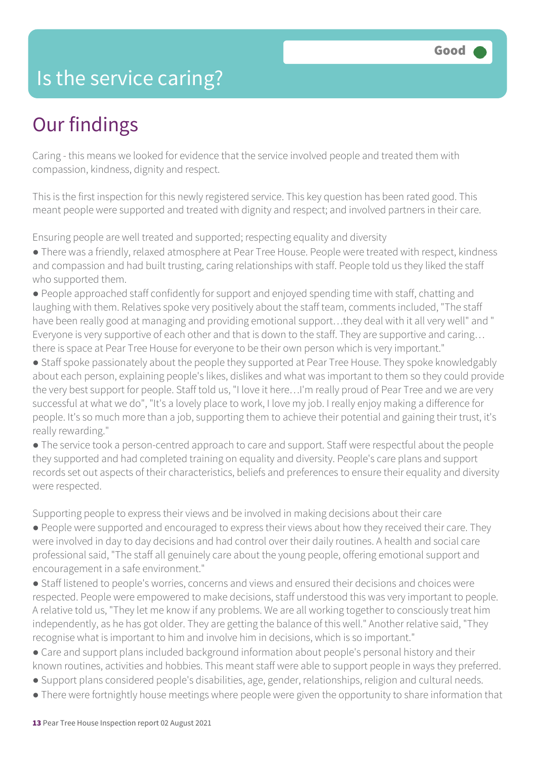### Is the service caring?

### Our findings

Caring - this means we looked for evidence that the service involved people and treated them with compassion, kindness, dignity and respect.

This is the first inspection for this newly registered service. This key question has been rated good. This meant people were supported and treated with dignity and respect; and involved partners in their care.

Ensuring people are well treated and supported; respecting equality and diversity

- There was a friendly, relaxed atmosphere at Pear Tree House. People were treated with respect, kindness and compassion and had built trusting, caring relationships with staff. People told us they liked the staff who supported them.
- People approached staff confidently for support and enjoyed spending time with staff, chatting and laughing with them. Relatives spoke very positively about the staff team, comments included, "The staff have been really good at managing and providing emotional support…they deal with it all very well" and " Everyone is very supportive of each other and that is down to the staff. They are supportive and caring… there is space at Pear Tree House for everyone to be their own person which is very important."
- Staff spoke passionately about the people they supported at Pear Tree House. They spoke knowledgably about each person, explaining people's likes, dislikes and what was important to them so they could provide the very best support for people. Staff told us, "I love it here…I'm really proud of Pear Tree and we are very successful at what we do", "It's a lovely place to work, I love my job. I really enjoy making a difference for people. It's so much more than a job, supporting them to achieve their potential and gaining their trust, it's really rewarding."
- The service took a person-centred approach to care and support. Staff were respectful about the people they supported and had completed training on equality and diversity. People's care plans and support records set out aspects of their characteristics, beliefs and preferences to ensure their equality and diversity were respected.

Supporting people to express their views and be involved in making decisions about their care

- People were supported and encouraged to express their views about how they received their care. They were involved in day to day decisions and had control over their daily routines. A health and social care professional said, "The staff all genuinely care about the young people, offering emotional support and encouragement in a safe environment."
- Staff listened to people's worries, concerns and views and ensured their decisions and choices were respected. People were empowered to make decisions, staff understood this was very important to people. A relative told us, "They let me know if any problems. We are all working together to consciously treat him independently, as he has got older. They are getting the balance of this well." Another relative said, "They recognise what is important to him and involve him in decisions, which is so important."
- Care and support plans included background information about people's personal history and their known routines, activities and hobbies. This meant staff were able to support people in ways they preferred.
- Support plans considered people's disabilities, age, gender, relationships, religion and cultural needs.
- There were fortnightly house meetings where people were given the opportunity to share information that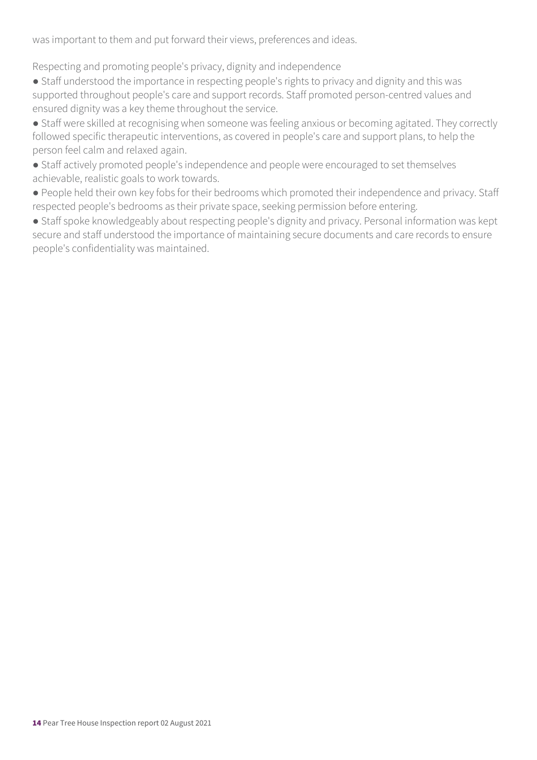was important to them and put forward their views, preferences and ideas.

Respecting and promoting people's privacy, dignity and independence

• Staff understood the importance in respecting people's rights to privacy and dignity and this was supported throughout people's care and support records. Staff promoted person-centred values and ensured dignity was a key theme throughout the service.

● Staff were skilled at recognising when someone was feeling anxious or becoming agitated. They correctly followed specific therapeutic interventions, as covered in people's care and support plans, to help the person feel calm and relaxed again.

● Staff actively promoted people's independence and people were encouraged to set themselves achievable, realistic goals to work towards.

● People held their own key fobs for their bedrooms which promoted their independence and privacy. Staff respected people's bedrooms as their private space, seeking permission before entering.

● Staff spoke knowledgeably about respecting people's dignity and privacy. Personal information was kept secure and staff understood the importance of maintaining secure documents and care records to ensure people's confidentiality was maintained.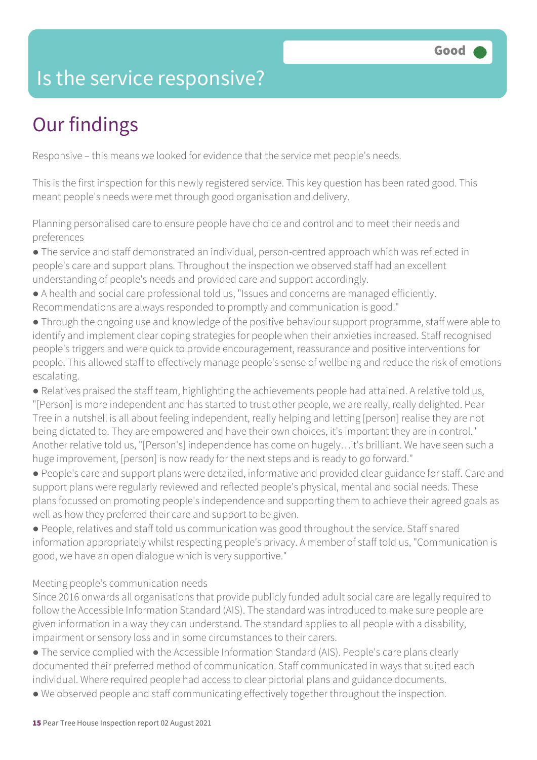### Is the service responsive?

### Our findings

Responsive – this means we looked for evidence that the service met people's needs.

This is the first inspection for this newly registered service. This key question has been rated good. This meant people's needs were met through good organisation and delivery.

Planning personalised care to ensure people have choice and control and to meet their needs and preferences

- The service and staff demonstrated an individual, person-centred approach which was reflected in people's care and support plans. Throughout the inspection we observed staff had an excellent understanding of people's needs and provided care and support accordingly.
- A health and social care professional told us, "Issues and concerns are managed efficiently. Recommendations are always responded to promptly and communication is good."
- Through the ongoing use and knowledge of the positive behaviour support programme, staff were able to identify and implement clear coping strategies for people when their anxieties increased. Staff recognised people's triggers and were quick to provide encouragement, reassurance and positive interventions for people. This allowed staff to effectively manage people's sense of wellbeing and reduce the risk of emotions escalating.
- Relatives praised the staff team, highlighting the achievements people had attained. A relative told us, "[Person] is more independent and has started to trust other people, we are really, really delighted. Pear Tree in a nutshell is all about feeling independent, really helping and letting [person] realise they are not being dictated to. They are empowered and have their own choices, it's important they are in control." Another relative told us, "[Person's] independence has come on hugely…it's brilliant. We have seen such a huge improvement, [person] is now ready for the next steps and is ready to go forward."
- People's care and support plans were detailed, informative and provided clear guidance for staff. Care and support plans were regularly reviewed and reflected people's physical, mental and social needs. These plans focussed on promoting people's independence and supporting them to achieve their agreed goals as well as how they preferred their care and support to be given.
- People, relatives and staff told us communication was good throughout the service. Staff shared information appropriately whilst respecting people's privacy. A member of staff told us, "Communication is good, we have an open dialogue which is very supportive."

#### Meeting people's communication needs

Since 2016 onwards all organisations that provide publicly funded adult social care are legally required to follow the Accessible Information Standard (AIS). The standard was introduced to make sure people are given information in a way they can understand. The standard applies to all people with a disability, impairment or sensory loss and in some circumstances to their carers.

- The service complied with the Accessible Information Standard (AIS). People's care plans clearly documented their preferred method of communication. Staff communicated in ways that suited each individual. Where required people had access to clear pictorial plans and guidance documents.
- We observed people and staff communicating effectively together throughout the inspection.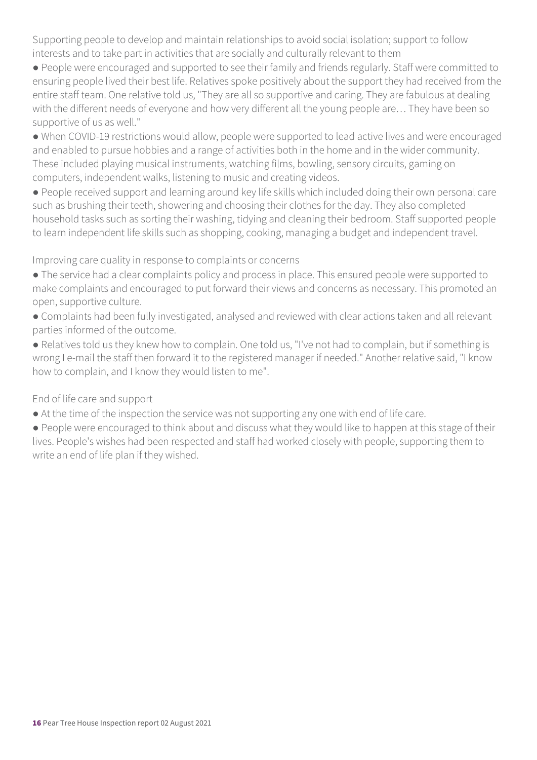Supporting people to develop and maintain relationships to avoid social isolation; support to follow interests and to take part in activities that are socially and culturally relevant to them

- People were encouraged and supported to see their family and friends regularly. Staff were committed to ensuring people lived their best life. Relatives spoke positively about the support they had received from the entire staff team. One relative told us, "They are all so supportive and caring. They are fabulous at dealing with the different needs of everyone and how very different all the young people are… They have been so supportive of us as well."
- When COVID-19 restrictions would allow, people were supported to lead active lives and were encouraged and enabled to pursue hobbies and a range of activities both in the home and in the wider community. These included playing musical instruments, watching films, bowling, sensory circuits, gaming on computers, independent walks, listening to music and creating videos.
- People received support and learning around key life skills which included doing their own personal care such as brushing their teeth, showering and choosing their clothes for the day. They also completed household tasks such as sorting their washing, tidying and cleaning their bedroom. Staff supported people to learn independent life skills such as shopping, cooking, managing a budget and independent travel.

#### Improving care quality in response to complaints or concerns

- The service had a clear complaints policy and process in place. This ensured people were supported to make complaints and encouraged to put forward their views and concerns as necessary. This promoted an open, supportive culture.
- Complaints had been fully investigated, analysed and reviewed with clear actions taken and all relevant parties informed of the outcome.
- Relatives told us they knew how to complain. One told us, "I've not had to complain, but if something is wrong I e-mail the staff then forward it to the registered manager if needed." Another relative said, "I know how to complain, and I know they would listen to me".

#### End of life care and support

- At the time of the inspection the service was not supporting any one with end of life care.
- People were encouraged to think about and discuss what they would like to happen at this stage of their lives. People's wishes had been respected and staff had worked closely with people, supporting them to write an end of life plan if they wished.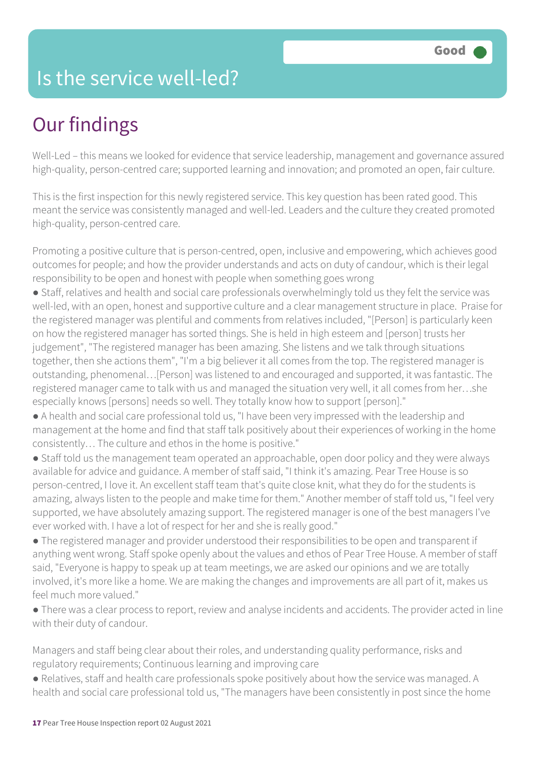### Is the service well-led?

### Our findings

Well-Led – this means we looked for evidence that service leadership, management and governance assured high-quality, person-centred care; supported learning and innovation; and promoted an open, fair culture.

This is the first inspection for this newly registered service. This key question has been rated good. This meant the service was consistently managed and well-led. Leaders and the culture they created promoted high-quality, person-centred care.

Promoting a positive culture that is person-centred, open, inclusive and empowering, which achieves good outcomes for people; and how the provider understands and acts on duty of candour, which is their legal responsibility to be open and honest with people when something goes wrong

- Staff, relatives and health and social care professionals overwhelmingly told us they felt the service was well-led, with an open, honest and supportive culture and a clear management structure in place. Praise for the registered manager was plentiful and comments from relatives included, "[Person] is particularly keen on how the registered manager has sorted things. She is held in high esteem and [person] trusts her judgement", "The registered manager has been amazing. She listens and we talk through situations together, then she actions them", "I'm a big believer it all comes from the top. The registered manager is outstanding, phenomenal…[Person] was listened to and encouraged and supported, it was fantastic. The registered manager came to talk with us and managed the situation very well, it all comes from her…she especially knows [persons] needs so well. They totally know how to support [person]."
- A health and social care professional told us, "I have been very impressed with the leadership and management at the home and find that staff talk positively about their experiences of working in the home consistently… The culture and ethos in the home is positive."
- Staff told us the management team operated an approachable, open door policy and they were always available for advice and guidance. A member of staff said, "I think it's amazing. Pear Tree House is so person-centred, I love it. An excellent staff team that's quite close knit, what they do for the students is amazing, always listen to the people and make time for them." Another member of staff told us, "I feel very supported, we have absolutely amazing support. The registered manager is one of the best managers I've ever worked with. I have a lot of respect for her and she is really good."
- The registered manager and provider understood their responsibilities to be open and transparent if anything went wrong. Staff spoke openly about the values and ethos of Pear Tree House. A member of staff said, "Everyone is happy to speak up at team meetings, we are asked our opinions and we are totally involved, it's more like a home. We are making the changes and improvements are all part of it, makes us feel much more valued."
- There was a clear process to report, review and analyse incidents and accidents. The provider acted in line with their duty of candour.

Managers and staff being clear about their roles, and understanding quality performance, risks and regulatory requirements; Continuous learning and improving care

● Relatives, staff and health care professionals spoke positively about how the service was managed. A health and social care professional told us, "The managers have been consistently in post since the home